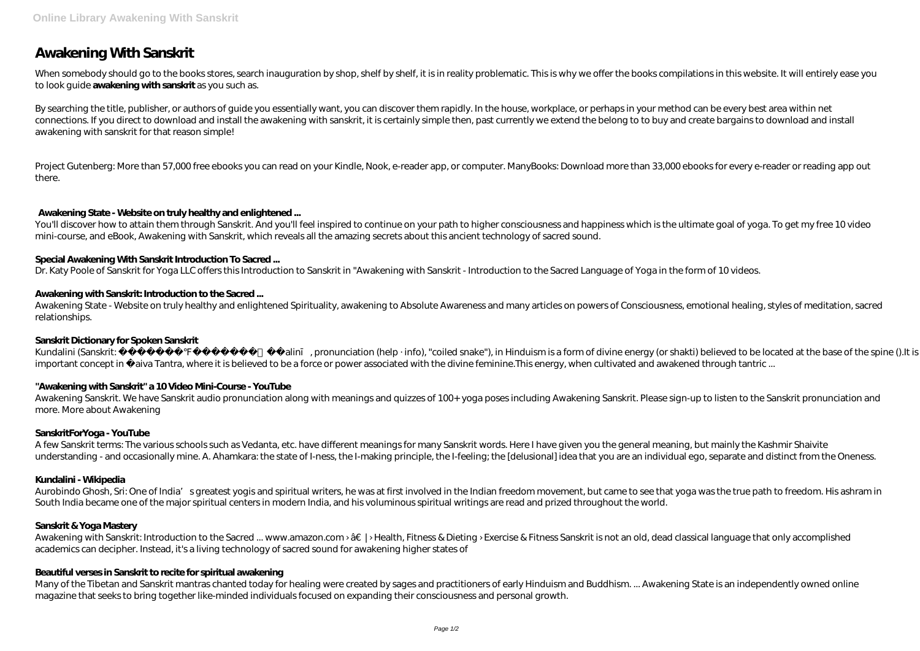# **Awakening With Sanskrit**

When somebody should go to the books stores, search inauguration by shop, shelf by shelf, it is in reality problematic. This is why we offer the books compilations in this website. It will entirely ease you to look guide **awakening with sanskrit** as you such as.

By searching the title, publisher, or authors of guide you essentially want, you can discover them rapidly. In the house, workplace, or perhaps in your method can be every best area within net connections. If you direct to download and install the awakening with sanskrit, it is certainly simple then, past currently we extend the belong to to buy and create bargains to download and install awakening with sanskrit for that reason simple!

Project Gutenberg: More than 57,000 free ebooks you can read on your Kindle, Nook, e-reader app, or computer. ManyBooks: Download more than 33,000 ebooks for every e-reader or reading app out there.

You'll discover how to attain them through Sanskrit. And you'll feel inspired to continue on your path to higher consciousness and happiness which is the ultimate goal of yoga. To get my free 10 video mini-course, and eBook, Awakening with Sanskrit, which reveals all the amazing secrets about this ancient technology of sacred sound.

# **Awakening State - Website on truly healthy and enlightened ...**

Awakening Sanskrit. We have Sanskrit audio pronunciation along with meanings and quizzes of 100+ yoga poses including Awakening Sanskrit. Please sign-up to listen to the Sanskrit pronunciation and more. More about Awakening

## **Special Awakening With Sanskrit Introduction To Sacred ...**

A few Sanskrit terms: The various schools such as Vedanta, etc. have different meanings for many Sanskrit words. Here I have given you the general meaning, but mainly the Kashmir Shaivite understanding - and occasionally mine. A. Ahamkara: the state of I-ness, the I-making principle, the I-feeling; the [delusional] idea that you are an individual ego, separate and distinct from the Oneness.

Dr. Katy Poole of Sanskrit for Yoga LLC offers this Introduction to Sanskrit in "Awakening with Sanskrit - Introduction to the Sacred Language of Yoga in the form of 10 videos.

## **Awakening with Sanskrit: Introduction to the Sacred ...**

Aurobindo Ghosh, Sri: One of India' s greatest yogis and spiritual writers, he was at first involved in the Indian freedom movement, but came to see that yoga was the true path to freedom. His ashram in South India became one of the major spiritual centers in modern India, and his voluminous spiritual writings are read and prized throughout the world.

Awakening State - Website on truly healthy and enlightened Spirituality, awakening to Absolute Awareness and many articles on powers of Consciousness, emotional healing, styles of meditation, sacred relationships.

Awakening with Sanskrit: Introduction to the Sacred ... www.amazon.com >  $\hat{a} \in \mathbb{I}$  > Health, Fitness & Dieting > Exercise & Fitness Sanskrit is not an old, dead classical language that only accomplished academics can decipher. Instead, it's a living technology of sacred sound for awakening higher states of

#### **Sanskrit Dictionary for Spoken Sanskrit**

Kundalini (Sanskrit: ku alin , pronunciation (help · info), "coiled snake"), in Hinduism is a form of divine energy (or shakti) believed to be located at the base of the spine ().It is an important concept in aiva Tantra, where it is believed to be a force or power associated with the divine feminine. This energy, when cultivated and awakened through tantric ...

Many of the Tibetan and Sanskrit mantras chanted today for healing were created by sages and practitioners of early Hinduism and Buddhism. ... Awakening State is an independently owned online magazine that seeks to bring together like-minded individuals focused on expanding their consciousness and personal growth.

#### **"Awakening with Sanskrit" a 10 Video Mini-Course - YouTube**

#### **SanskritForYoga - YouTube**

#### **Kundalini - Wikipedia**

#### **Sanskrit & Yoga Mastery**

#### **Beautiful verses in Sanskrit to recite for spiritual awakening**